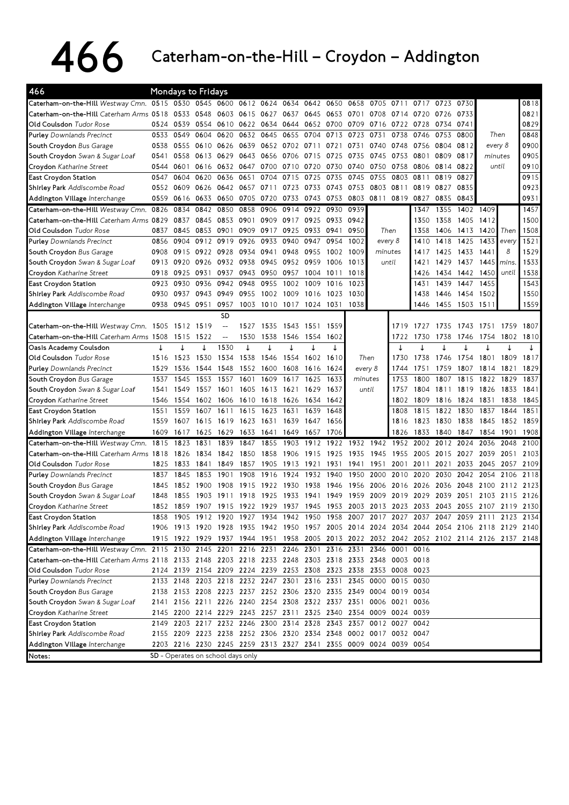## 466 Caterham-on-the-Hill–Croydon–Addington

| 466                                                                                                 |           | <b>Mondays to Fridays</b> |      |                                       |           |                |      |           |      |         |                                                                  |      |      |           |           |                                                                                           |             |      |
|-----------------------------------------------------------------------------------------------------|-----------|---------------------------|------|---------------------------------------|-----------|----------------|------|-----------|------|---------|------------------------------------------------------------------|------|------|-----------|-----------|-------------------------------------------------------------------------------------------|-------------|------|
| Caterham-on-the-Hill Westway Cmn. 0515 0530 0545 0600 0612 0624 0634 0642 0650 0658 0705 0711       |           |                           |      |                                       |           |                |      |           |      |         |                                                                  |      | 0717 | 0723 0730 |           |                                                                                           |             | 0818 |
| Caterham-on-the-Hill Caterham Arms 0518 0533 0548                                                   |           |                           |      | 0603                                  | 0615 0627 |                | 0637 | 0645      | 0653 | 0701    | 0708                                                             | 0714 | 0720 | 0726      | 0733      |                                                                                           |             | 0821 |
| <b>Old Coulsdon</b> Tudor Rose                                                                      | 0524      | 0539                      | 0554 | 0610                                  |           | 0622 0634      | 0644 | 0652 0700 |      | 0709    | 0716                                                             | 0722 | 0728 | 0734      | 0741      |                                                                                           |             | 0829 |
| <b>Purley</b> Downlands Precinct                                                                    | 0533      | 0549                      | 0604 | 0620                                  | 0632      | 0645           | 0655 | 0704      | 0713 | 0723    | 0731                                                             | 0738 | 0746 | 0753      | 0800      | Then                                                                                      |             | 0848 |
| South Croydon Bus Garage                                                                            | 0538      | 0555                      | 0610 | 0626                                  | 0639      | 0652           | 0702 | 0711      | 0721 | 0731    | 0740                                                             | 0748 | 0756 | 0804      | 0812      | every 8                                                                                   |             | 0900 |
| South Croydon Swan & Sugar Loaf                                                                     | 0541      | 0558                      | 0613 | 0629                                  | 0643      | 0656           | 0706 | 0715      | 0725 | 0735    | 0745                                                             | 0753 | 0801 | 0809      | 0817      | minutes                                                                                   |             | 0905 |
| Croydon Katharine Street                                                                            | 0544 0601 |                           | 0616 | 0632                                  | 0647      | 0700           | 0710 | 0720      | 0730 | 0740    | 0750                                                             | 0758 | 0806 | 0814      | 0822      | until                                                                                     |             | 0910 |
| East Croydon Station                                                                                | 0547      | 0604                      | 0620 | 0636                                  | 0651      | 0704           | 0715 | 0725      | 0735 | 0745    | 0755                                                             | 0803 | 0811 | 0819      | 0827      |                                                                                           |             | 0915 |
| Shirley Park Addiscombe Road                                                                        | 0552      | 0609                      | 0626 | 0642                                  | 0657      | 0711           | 0723 | 0733      | 0743 | 0753    | 0803                                                             | 0811 | 0819 | 0827      | 0835      |                                                                                           |             | 0923 |
| Addington Village Interchange                                                                       | 0559      | 0616                      | 0633 | 0650                                  | 0705      | 0720           | 0733 | 0743 0753 |      | 0803    | 0811                                                             | 0819 | 0827 | 0835      | 0843      |                                                                                           |             | 0931 |
| Caterham-on-the-Hill Westway Cmn.                                                                   | 0826      | 0834                      | 0842 | 0850                                  | 0858      | 0906           | 0914 | 0922 0930 |      | 0939    |                                                                  |      | 1347 | 1355      | 1402 1409 |                                                                                           |             | 1457 |
| Caterham-on-the-Hill Caterham Arms 0829                                                             |           | 0837                      | 0845 | 0853                                  | 0901      | 0909           | 0917 | 0925 0933 |      | 0942    |                                                                  |      | 1350 | 1358      | 1405      | 1412                                                                                      |             | 1500 |
| Old Coulsdon Tudor Rose                                                                             | 0837      | 0845                      | 0853 | 0901                                  | 0909      | 0917           | 0925 | 0933      | 0941 | 0950    | Then                                                             |      | 1358 | 1406      | 1413      | 1 <b>4</b> 20 Then                                                                        |             | 1508 |
| Purley Downlands Precinct                                                                           | 0856      | 0904                      | 0912 | 0919                                  | 0926      | 0933           | 0940 | 0947      | 0954 | 1002    | every 8                                                          |      | 1410 | 1418      | 1425      | 1433                                                                                      | every       | 1521 |
| South Croydon Bus Garage                                                                            | 0908      | 0915                      | 0922 | 0928                                  | 0934      | 0941           | 0948 | 0955      | 1002 | 1009    | minutes                                                          |      | 1417 | 1425      | 1433      | 1441                                                                                      | 8           | 1529 |
| South Croydon Swan & Sugar Loaf                                                                     | 0913      | 0920                      | 0926 | 0932                                  | 0938      | 0945           | 0952 | 0959      | 1006 | 1013    | until                                                            |      | 1421 | 1429      | 1437      | 1445                                                                                      | <i>mins</i> | 1533 |
| Croydon Katharine Street                                                                            | 0918      | 0925                      | 0931 | 0937                                  |           | 0943 0950 0957 |      | 1004      | 1011 | 1018    |                                                                  |      | 1426 |           | 1434 1442 | 1450                                                                                      | until       | 1538 |
| East Croydon Station                                                                                | 0923      | 0930                      | 0936 | 0942                                  | 0948      | 0955           | 1002 | 1009      | 1016 | 1023    |                                                                  |      | 1431 | 1439      | 1447      | 1455                                                                                      |             | 1543 |
| Shirley Park Addiscombe Road                                                                        | 0930      | 0937                      | 0943 | 0949                                  | 0955      | 1002           | 1009 | 1016      | 1023 | 1030    |                                                                  |      | 1438 | 1446      | 1454      | 1502                                                                                      |             | 1550 |
| Addington Village Interchange                                                                       | 0938      | 0945                      | 0951 | 0957                                  |           | 1003 1010      | 1017 | 1024 1031 |      | 1038    |                                                                  |      | 1446 | 1455      | 1503 1511 |                                                                                           |             | 1559 |
|                                                                                                     |           |                           |      | <b>SD</b>                             |           |                |      |           |      |         |                                                                  |      |      |           |           |                                                                                           |             |      |
| Caterham-on-the-Hill Westway Cmn. 1505 1512 1519                                                    |           |                           |      | $\hspace{0.05cm}$ – $\hspace{0.05cm}$ | 1527      | 1535           | 1543 | 1551      | 1559 |         |                                                                  | 1719 | 1727 | 1735      | 1743 1751 |                                                                                           | 1759        | 1807 |
| Caterham-on-the-Hill Caterham Arms 1508                                                             |           | 1515                      | 1522 | --                                    | 1530      | 1538           | 1546 | 1554      | 1602 |         |                                                                  | 1722 | 1730 | 1738      | 1746      | 1754                                                                                      | 1802        | 1810 |
| Oasis Academy Coulsdon                                                                              | ↓         | ↓                         |      | 1530                                  | ↓         |                | ↓    |           |      |         |                                                                  | ↓    |      |           |           |                                                                                           | ↓           |      |
| <b>Old Coulsdon</b> Tudor Rose                                                                      | 1516      | 1523                      | 1530 | 1534                                  | 1538      | 1546           | 1554 | 1602      | 1610 | Then    |                                                                  | 1730 | 1738 | 1746      | 1754      | 1801                                                                                      | 1809        | 1817 |
| Purley Downlands Precinct                                                                           | 1529      | 1536                      | 1544 | 1548                                  | 1552      | 1600           | 1608 | 1616      | 1624 | every 8 |                                                                  | 1744 | 1751 | 1759      | 1807      | 1814                                                                                      | 1821        | 1829 |
| South Croydon Bus Garage                                                                            | 1537      | 1545                      | 1553 | 1557                                  | 1601      | 1609           | 1617 | 1625      | 1633 | minutes |                                                                  | 1753 | 1800 | 1807      | 1815      | 1822                                                                                      | 1829        | 1837 |
| South Croydon Swan & Sugar Loaf                                                                     | 1541      | 1549                      | 1557 | 1601                                  |           | 1605 1613      | 1621 | 1629      | 1637 | until   |                                                                  | 1757 | 1804 | 1811      | 1819 1826 |                                                                                           | 1833        | 1841 |
| Croydon Katharine Street                                                                            | 1546      | 1554                      | 1602 | 1606                                  |           | 1610 1618      | 1626 | 1634      | 1642 |         |                                                                  | 1802 | 1809 | 1816      | 1824      | 1831                                                                                      | 1838        | 1845 |
| East Croydon Station                                                                                | 1551      | 1559                      | 1607 | 1611                                  | 1615      | 1623           | 1631 | 1639      | 1648 |         |                                                                  | 1808 | 1815 | 1822      | 1830      | 1837                                                                                      | 1844        | 1851 |
| Shirley Park Addiscombe Road                                                                        | 1559      | 1607                      | 1615 | 1619                                  | 1623      | 1631           | 1639 | 1647      | 1656 |         |                                                                  | 1816 | 1823 | 1830      | 1838      | 1845                                                                                      | 1852        | 1859 |
| Addington Village Interchange                                                                       | 1609      | 1617                      | 1625 | 1629                                  | 1633      | 1641           | 1649 | 1657      | 1706 |         |                                                                  | 1826 | 1833 | 1840      | 1847      | 1854                                                                                      | 1901        | 1908 |
| Caterham-on-the-Hill Westway Cmn.                                                                   | 1815      | 1823                      | 1831 | 1839                                  | 1847      | 1855           | 1903 | 1912      | 1922 | 1932    | 1942                                                             | 1952 | 2002 | 2012      | 2024      | 2036                                                                                      | 2048        | 2100 |
| Caterham-on-the-Hill Caterham Arms 1818                                                             |           | 1826                      | 1834 | 1842                                  | 1850      | 1858           | 1906 | 1915      | 1925 | 1935    | 1945                                                             | 1955 | 2005 | 2015      | 2027      | 2039                                                                                      | 2051        | 2103 |
| <b>Old Coulsdon</b> Tudor Rose                                                                      | 1825      | 1833                      | 1841 | 1849                                  | 1857      | 1905           | 1913 | 1921      | 1931 | 1941    | 1951                                                             | 2001 | 2011 | 2021      | 2033      | 2045                                                                                      | 2057        | 2109 |
| <b>Purley</b> Downlands Precinct                                                                    | 1837      | 1845                      | 1853 | 1901                                  | 1908      | 1916           | 1924 | 1932      | 1940 | 1950    | 2000                                                             | 2010 | 2020 | 2030      | 2042      | 2054                                                                                      | 2106        | 2118 |
| South Croydon Bus Garage                                                                            | 1845      | 1852                      | 1900 | 1908                                  | 1915      | 1922           | 1930 | 1938      | 1946 | 1956    | 2006                                                             | 2016 | 2026 | 2036      | 2048      | 2100                                                                                      | 2112        | 2123 |
| South Croydon Swan & Sugar Loaf                                                                     | 1848      | 1855                      | 1903 | 1911                                  | 18<br>19  | 19<br>25       | 1933 | 1941      | 1949 | 1959    | 2009                                                             | 2019 | 2029 | 2039      | 2051      | 2103                                                                                      | 2115        | 2126 |
| Croydon Katharine Street                                                                            |           | 1852 1859                 | 1907 | 1915                                  | 1922 1929 |                | 1937 | 1945 1953 |      | 2003    | 2013                                                             | 2023 | 2033 | 2043      | 2055      | 2107                                                                                      | 2119        | 2130 |
| East Croydon Station                                                                                |           |                           |      |                                       |           |                |      |           |      |         |                                                                  |      |      |           |           | 1858 1905 1912 1920 1927 1934 1942 1950 1958 2007 2017 2027 2037 2047 2059 2111 2123 2134 |             |      |
| Shirley Park Addiscombe Road                                                                        |           |                           |      |                                       |           |                |      |           |      |         |                                                                  |      |      |           |           | 1906 1913 1920 1928 1935 1942 1950 1957 2005 2014 2024 2034 2044 2054 2106 2118 2129 2140 |             |      |
| Addington Village Interchange                                                                       |           |                           |      |                                       |           |                |      |           |      |         |                                                                  |      |      |           |           | 1915 1922 1929 1937 1944 1951 1958 2005 2013 2022 2032 2042 2052 2102 2114 2126 2137 2148 |             |      |
| Caterham-on-the-Hill Westway Cmn. 2115 2130 2145 2201 2216 2231 2246 2301 2316 2331 2346 0001 0016  |           |                           |      |                                       |           |                |      |           |      |         |                                                                  |      |      |           |           |                                                                                           |             |      |
| Caterham-on-the-Hill Caterham Arms 2118 2133 2148 2203 2218 2233 2248 2303 2318 2333 2348 0003 0018 |           |                           |      |                                       |           |                |      |           |      |         |                                                                  |      |      |           |           |                                                                                           |             |      |
| Old Coulsdon Tudor Rose                                                                             |           |                           |      |                                       |           |                |      |           |      |         | 2124 2139 2154 2209 2224 2239 2253 2308 2323 2338 2353 0008 0023 |      |      |           |           |                                                                                           |             |      |
| <b>Purley</b> Downlands Precinct                                                                    |           |                           |      |                                       |           |                |      |           |      |         | 2133 2148 2203 2218 2232 2247 2301 2316 2331 2345 0000 0015 0030 |      |      |           |           |                                                                                           |             |      |
| South Croydon Bus Garage                                                                            |           |                           |      |                                       |           |                |      |           |      |         | 2138 2153 2208 2223 2237 2252 2306 2320 2335 2349 0004 0019 0034 |      |      |           |           |                                                                                           |             |      |
| South Croydon Swan & Sugar Loaf                                                                     |           |                           |      |                                       |           |                |      |           |      |         | 2141 2156 2211 2226 2240 2254 2308 2322 2337 2351 0006 0021 0036 |      |      |           |           |                                                                                           |             |      |
| Croydon Katharine Street                                                                            |           |                           |      |                                       |           |                |      |           |      |         | 2145 2200 2214 2229 2243 2257 2311 2325 2340 2354 0009 0024 0039 |      |      |           |           |                                                                                           |             |      |
| East Croydon Station                                                                                |           |                           |      |                                       |           |                |      |           |      |         | 2149 2203 2217 2232 2246 2300 2314 2328 2343 2357 0012 0027 0042 |      |      |           |           |                                                                                           |             |      |
| Shirley Park Addiscombe Road                                                                        |           |                           |      |                                       |           |                |      |           |      |         | 2155 2209 2223 2238 2252 2306 2320 2334 2348 0002 0017 0032 0047 |      |      |           |           |                                                                                           |             |      |
| Addington Village Interchange                                                                       |           |                           |      |                                       |           |                |      |           |      |         | 2203 2216 2230 2245 2259 2313 2327 2341 2355 0009 0024 0039 0054 |      |      |           |           |                                                                                           |             |      |
| Notes:                                                                                              |           |                           |      | SD - Operates on school days only     |           |                |      |           |      |         |                                                                  |      |      |           |           |                                                                                           |             |      |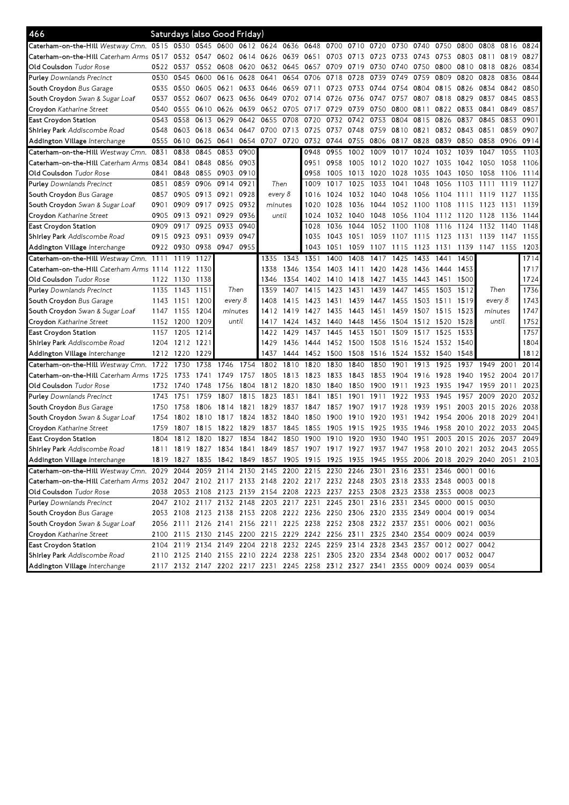| 466                                                                                                                |           |           | Saturdays (also Good Friday) |         |                |           |                     |                                                                                 |           |                               |      |      |      |      |                     |                                                                                           |      |                |
|--------------------------------------------------------------------------------------------------------------------|-----------|-----------|------------------------------|---------|----------------|-----------|---------------------|---------------------------------------------------------------------------------|-----------|-------------------------------|------|------|------|------|---------------------|-------------------------------------------------------------------------------------------|------|----------------|
| Caterham-on-the-Hill Westway Cmn. 0515 0530                                                                        |           |           | 0545 0600                    |         |                |           | 0612 0624 0636 0648 |                                                                                 | 0700      | 0710 0720                     |      | 0730 | 0740 | 0750 | 0800                | 0808                                                                                      | 0816 | 0824           |
| Caterham-on-the-Hill Caterham Arms 0517                                                                            |           | 0532 0547 |                              | 0602    | 0614 0626 0639 |           |                     | 0651                                                                            | 0703      | 0713                          | 0723 | 0733 | 0743 | 0753 | 0803 0811           |                                                                                           | 0819 | 0827           |
| Old Coulsdon <i>Tudor Rose</i>                                                                                     | 0522      | 0537      | 0552                         | 0608    | 0620           |           | 0632 0645           | 0657                                                                            | 0709      | 0719                          | 0730 | 0740 | 0750 | 0800 |                     | 0810 0818                                                                                 | 0826 | 0834           |
| <b>Purley</b> Downlands Precinct                                                                                   | 0530      | 0545      | 0600                         | 0616    | 0628           | 0641      | 0654                | 0706                                                                            | 0718      | 0728                          | 0739 | 0749 | 0759 | 0809 | 0820                | 0828                                                                                      | 0836 | 0844           |
| South Croydon Bus Garage                                                                                           | 0535      | 0550      | 0605 0621                    |         | 0633           | 0646      | 0659                | 0711                                                                            | 0723      | 0733                          | 0744 | 0754 | 0804 | 0815 | 0826                | 0834                                                                                      | 0842 | 0850           |
| <b>South Croydon</b> Swan & Sugar Loaf                                                                             | 0537      | 0552      | 0607                         | 0623    | 0636           | 0649      | 0702                | 0714                                                                            | 0726      | 0736                          | 0747 | 0757 | 0807 | 0818 | 0829                | 0837                                                                                      | 0845 | 0853           |
| Croydon Katharine Street                                                                                           | 0540      | 0555      | 0610 0626                    |         | 0639           | 0652      | 0705                | 0717                                                                            | 0729      | 0739                          | 0750 | 0800 | 0811 | 0822 | 0833                | 0841                                                                                      | 0849 | 0857           |
| East Croydon Station                                                                                               | 0543      | 0558      | 0613                         | 0629    | 0642           | 0655      | 0708                | 0720                                                                            | 0732      | 0742                          | 0753 | 0804 | 0815 | 0826 | 0837                | 0845                                                                                      | 0853 | 0901           |
| Sh <b>irley Park</b> Addiscombe Road                                                                               | 0548      | 0603      | 0618 0634                    |         | 0647           | 0700      | 0713                | 0725                                                                            | 0737      | 0748                          | 0759 | 0810 | 0821 | 0832 | 0843                | 0851                                                                                      | 0859 | 0907           |
| Addington Village <i>Interchange</i>                                                                               | 0555      | 0610      | 0625 0641                    |         | 0654           | 0707      | 0720                | 0732                                                                            | 0744      | 0755                          | 0806 | 0817 | 0828 | 0839 | 0850                | 0858                                                                                      | 0906 | 0914           |
| Caterham-on-the-Hill Westway Cmn.                                                                                  | 0831      | 0838      | 0845                         | 0853    | 0900           |           |                     | 0948                                                                            | 0955      | 1002                          | 1009 | 1017 | 1024 | 1032 | 1039                | 1047                                                                                      | 1055 | 1103           |
| Caterham-on-the-Hill Caterham Arms 0834                                                                            |           | 0841      | 0848                         | 0856    | 0903           |           |                     | 0951                                                                            | 0958      | 1005                          | 1012 | 1020 | 1027 | 1035 | 1042                | 1050                                                                                      | 1058 | 1106           |
| Old Coulsdon <i>Tudor Rose</i>                                                                                     | 0841      | 0848      | 0855                         | 0903    | 0910           |           |                     | 0958                                                                            | 1005      | 1013                          | 1020 | 1028 | 1035 | 1043 | 1050                | 1058                                                                                      | 1106 | 1114           |
| <b>Purley</b> Downlands Precinct                                                                                   | 0851      | 0859      | 0906 0914                    |         | 0921           |           | Then                | 1009                                                                            | 1017      | 1025                          | 1033 | 1041 | 1048 | 1056 | 1103                | 1111                                                                                      | 1119 | 1127           |
| South Croydon Bus Garage                                                                                           | 0857      | 0905      | 0913 0921                    |         | 0928           |           | every 8             | 1016                                                                            | 1024      | 1032                          | 1040 | 1048 | 1056 | 1104 | 1111                | -11<br>-19                                                                                | 1127 | 1135           |
| <b>South Croydon</b> Swan & Sugar Loaf                                                                             | 0901      | 0909      | 0917                         | 0925    | 0932           | minutes   |                     | 1020                                                                            | 1028      | 1036                          | 1044 | 1052 | 1100 | 1108 | 1115                | 1123                                                                                      | 1131 | 1139           |
| Croydon Katharine Street                                                                                           | 0905      | 0913      | 0921                         | 0929    | 0936           |           | until               | 1024                                                                            | 1032      | 1040                          | 1048 | 1056 | 1104 | 1112 | 1120                | 1128                                                                                      | 1136 | 1144           |
| East Croydon Station                                                                                               | 0909      | 0917      | 0925                         | 0933    | 0940           |           |                     | 1028                                                                            | 1036      | 1044                          | 1052 | 1100 | 1108 | 1116 | 1124                | 1132                                                                                      | 1140 | 1148           |
| Shirley Park Addiscombe Road                                                                                       | 0915      | 0923      | 0931                         | 0939    | 0947           |           |                     | 1035                                                                            | 1043      | 1051                          | 1059 | 1107 | 1115 | 1123 | 1131                | 1139                                                                                      | 1147 | 1155           |
| Addington Village Interchange                                                                                      | 0922      | 0930      | 0938                         | 0947    | 0955           |           |                     | 1043                                                                            | 1051      | 1059                          | 1107 | 1115 | 1123 | 1131 | 1139                | 1147 1155                                                                                 |      | 1203           |
| Caterham-on-the-Hill Westway Cmn.                                                                                  | 1111      | 1119      | 1127                         |         |                | 1335      | 1343                | 1351                                                                            | 1400      | 1408                          | 1417 | 1425 | 1433 | 1441 | 1450                |                                                                                           |      | 1714           |
| Caterham-on-the-Hill Caterham Arms 1114                                                                            |           | 1122      | 1130                         |         |                | 1338      | 1346                | 1354                                                                            | 1403      | 1411                          | 1420 | 1428 | 1436 | 1444 | 1453                |                                                                                           |      | 1717           |
| Old Coulsdon <i>Tudor Rose</i>                                                                                     | 1122      | 1130      | 1138                         |         |                | 1346      | 1354                | 1402                                                                            | 1410      | 1418                          | 1427 | 1435 | 1443 | 1451 | 1500                |                                                                                           |      | 1724           |
| <b>Purley</b> Downlands Precinct                                                                                   | 1135      | 1143      | 1151                         | Then    |                | 1359      | 1407                | 1415                                                                            | 1423      | 1431                          | 1439 | 1447 | 1455 | 1503 | 1512                | Then                                                                                      |      | 1736           |
| South Croydon Bus Garage                                                                                           | 1143      | 1151      | 1200                         | every 8 |                | 1408      | 1415                | 1423                                                                            | 1431      | 1439                          | 1447 | 1455 | 1503 | 1511 | 1519                | every 8                                                                                   |      | 1743           |
| <b>South Croydon</b> Swan & Sugar Loaf                                                                             | 1147      | 1155      | 1204                         | minutes |                | 1412      | 1419                | 1427                                                                            | 1435      | 1443                          | 1451 | 1459 | 1507 | 1515 | 1523                | minutes                                                                                   |      | 1747           |
| Croydon Katharine Street                                                                                           | 1152      | 1200      | 1209                         | until   |                | 1417      | 1424                |                                                                                 | 1432 1440 | 1448                          | 1456 | 1504 | 1512 | 1520 | 1528                | until                                                                                     |      | 1752           |
| East Croydon Station                                                                                               | 1157      | 1205      | 1214                         |         |                | 1422      | 1429                | 1437                                                                            | 1445      | 1453                          | 1501 | 1509 | 1517 | 1525 | 1533                |                                                                                           |      | 1757           |
| Sh <b>irley Park</b> Addiscombe Road                                                                               | 1204      | 1212      | 1221                         |         |                | 1429      | 1436                | 1444                                                                            | 1452      | 1500                          | 1508 | 1516 | 1524 | 1532 | 1540                |                                                                                           |      | 1804           |
| Addington Village <i>Interchange</i>                                                                               | 1212 1220 |           | 1229                         |         |                | 1437      | 1444                | 1452                                                                            | 1500      | 1508                          | 1516 | 1524 | 1532 | 1540 | 1548                |                                                                                           |      | 1812           |
| Caterham-on-the-Hill Westway Cmn.                                                                                  | 1722      | 1730      | 1738                         | 1746    | 1754           | 1802      | 1810                | 1820                                                                            | 1830      | 1840                          | 1850 | 1901 | 1913 | 1925 | 1937                | 1949                                                                                      | 2001 | 2014           |
| <b>Caterham-on-the-Hill</b> Caterham Arms 1725                                                                     |           | 1733      | 1741                         | 1749    | 1757           | 1805      | 1813                | 1823                                                                            | 1833      | 1843                          | 1853 | 1904 | 1916 | 1928 | 1940                | 1952                                                                                      | 2004 | 2017           |
| Old Coulsdon <i>Tudor Rose</i>                                                                                     | 1732      | 1740      | 1748                         | 1756    | 1804           | 1812      | 1820                | 1830                                                                            | 1840      | 1850                          | 1900 | 1911 | 1923 | 1935 | 1947                | 1959                                                                                      | 2011 | 2023           |
| <b>Purley</b> Downlands Precinct                                                                                   | 1743      | 1751      | 1759                         | 1807    | 1815           | 1823      | 1831                | 1841                                                                            | 1851      | 1901                          | 1911 | 1922 | 1933 | 1945 | 1957                | 2009                                                                                      | 2020 | 2032           |
| South Croydon Bus Garage                                                                                           | 1750      | 1758      | 1806                         | 1814    | 1821           | 1829      | 1837                | 1847                                                                            | 1857      | 1907                          | 1917 | 1928 | 1939 | 1951 | 2003                | 2015                                                                                      | 2026 | 2038           |
| <b>South Croydon</b> Swan & Sugar Loaf                                                                             | 1754      | 1802      | 1810                         | 1817    | 1824           | 1832      | 1840                | 1850                                                                            | 1900      | 1910                          | 1920 | 1931 | 1942 | 1954 | 2006                | 2018                                                                                      | 2029 | 2041           |
| Croydon Katharine Street                                                                                           | 1759      | 1807      | 1815                         | 1822    | 1829           | 1837      | 1845                | 1855                                                                            | 1905      | 1915                          | 1925 | 1935 | 1946 | 1958 | 2010                | 2022                                                                                      | 2033 | 2045           |
| East Croydon Station                                                                                               | 1804      | 1812      | 1820                         | 1827    | 1834           | 1842      | 1850                | 1900                                                                            | 19<br>10  | 1920                          | 1930 | 1940 | 1951 | 2003 | 2015                | 2026                                                                                      | 2037 | 2049           |
| Sh <b>irley Park</b> Addiscombe Road                                                                               | 1811      | 1819      | 1827                         | 1834    | 1841           | 1849 1857 |                     |                                                                                 |           | 1907 1917 1927 1937 1947 1958 |      |      |      |      | 2010 2021           |                                                                                           |      | 2032 2043 2055 |
| Addington Village <i>Interchange</i>                                                                               |           |           |                              |         |                |           |                     |                                                                                 |           |                               |      |      |      |      |                     | 1819 1827 1835 1842 1849 1857 1905 1915 1925 1935 1945 1955 2006 2018 2029 2040 2051 2103 |      |                |
| Caterham-on-the-Hill Westway Cmn. 2029 2044 2059 2114 2130 2145 2200 2215 2230 2246 2301 2316 2331 2346 0001 0016  |           |           |                              |         |                |           |                     |                                                                                 |           |                               |      |      |      |      |                     |                                                                                           |      |                |
| Caterham-on-the-Hill Caterham Arms 2032 2047 2102 2117 2133 2148 2202 2217 2232 2248 2303 2318 2333 2348 0003 0018 |           |           |                              |         |                |           |                     |                                                                                 |           |                               |      |      |      |      |                     |                                                                                           |      |                |
| Old Coulsdon <i>Tudor Rose</i>                                                                                     |           |           |                              |         |                |           |                     | 2038 2053 2108 2123 2139 2154 2208 2223 2237 2253 2308 2323 2338 2353 0008 0023 |           |                               |      |      |      |      |                     |                                                                                           |      |                |
| Purley Downlands Precinct                                                                                          |           |           |                              |         |                |           |                     | 2047 2102 2117 2132 2148 2203 2217 2231 2245 2301 2316 2331                     |           |                               |      |      |      |      | 2345 0000 0015 0030 |                                                                                           |      |                |
| South Croydon Bus Garage                                                                                           |           |           |                              |         |                |           |                     | 2053 2108 2123 2138 2153 2208 2222 2236 2250 2306 2320 2335 2349 0004 0019 0034 |           |                               |      |      |      |      |                     |                                                                                           |      |                |
| <b>South Croydon</b> Swan & Sugar Loaf                                                                             |           |           |                              |         |                |           |                     | 2056 2111 2126 2141 2156 2211 2225 2238 2252 2308 2322 2337 2351 0006 0021 0036 |           |                               |      |      |      |      |                     |                                                                                           |      |                |
|                                                                                                                    |           |           |                              |         |                |           |                     |                                                                                 |           |                               |      |      |      |      |                     |                                                                                           |      |                |
| Croydon Katharine Street                                                                                           |           |           |                              |         |                |           |                     | 2100 2115 2130 2145 2200 2215 2229 2242 2256 2311 2325 2340 2354 0009 0024 0039 |           |                               |      |      |      |      |                     |                                                                                           |      |                |
| East Croydon Station                                                                                               |           |           |                              |         |                |           |                     | 2104 2119 2134 2149 2204 2218 2232 2245 2259 2314 2328 2343 2357 0012 0027 0042 |           |                               |      |      |      |      |                     |                                                                                           |      |                |
| Sh <b>irley Park</b> Addiscombe Road                                                                               |           |           |                              |         |                |           |                     | 2110 2125 2140 2155 2210 2224 2238 2251 2305 2320 2334 2348 0002 0017 0032 0047 |           |                               |      |      |      |      |                     |                                                                                           |      |                |
| Addington Village Interchange                                                                                      |           |           |                              |         |                |           |                     | 2117 2132 2147 2202 2217 2231 2245 2258 2312 2327 2341 2355 0009 0024 0039 0054 |           |                               |      |      |      |      |                     |                                                                                           |      |                |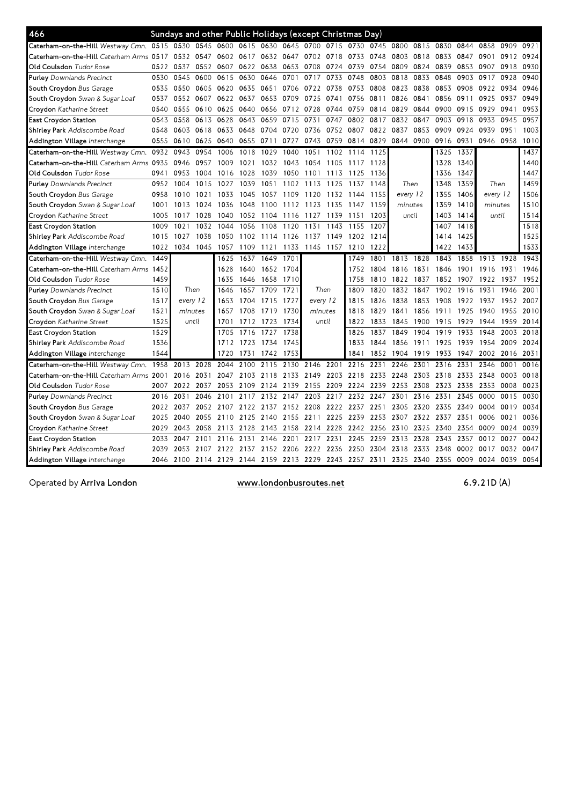| 466                                         |      | Sundays and other Public Holidays (except Christmas Day) |           |                          |      |                |           |           |           |                                              |      |          |           |      |           |           |      |      |
|---------------------------------------------|------|----------------------------------------------------------|-----------|--------------------------|------|----------------|-----------|-----------|-----------|----------------------------------------------|------|----------|-----------|------|-----------|-----------|------|------|
| Caterham-on-the-Hill Westway Cmn. 0515 0530 |      |                                                          |           | 0545 0600 0615 0630 0645 |      |                |           | 0700      | 0715      | 0730                                         | 0745 | 0800     | 0815      | 0830 | 0844      | 0858      | 0909 | 0921 |
| Caterham-on-the-Hill Caterham Arms 0517     |      | 0532 0547                                                |           | 0602                     | 0617 | 0632 0647      |           | 0702 0718 |           | 0733                                         | 0748 | 0803     | 0818      | 0833 | 0847      | 0901      | 0912 | 0924 |
| Old Coulsdon Tudor Rose                     | 0522 | 0537                                                     | 0552 0607 |                          | 0622 | 0638           | 0653      | 0708      | 0724      | 0739                                         | 0754 | 0809     | 0824      | 0839 | 0853      | 0907      | 0918 | 0930 |
| <b>Purley</b> Downlands Precinct            | 0530 | 0545                                                     | 0600      | 0615                     | 0630 | 0646           | 0701      | 0717      | 0733      | 0748                                         | 0803 | 0818     | 0833      | 0848 | 0903      | 0917      | 0928 | 0940 |
| South Croydon Bus Garage                    | 0535 | 0550                                                     | 0605      | 0620                     | 0635 | 0651           | 0706      | 0722      | 0738      | 0753                                         | 0808 | 0823     | 0838      | 0853 | 0908      | 0922      | 0934 | 0946 |
| South Croydon Swan & Sugar Loaf             | 0537 | 0552                                                     | 0607      | 0622                     | 0637 | 0653           | 0709      | 0725      | 0741      | 0756                                         | 0811 | 0826     | 0841      | 0856 | 0911      | 0925      | 0937 | 0949 |
| Croydon Katharine Street                    | 0540 | 0555                                                     |           | 0610 0625                | 0640 |                | 0656 0712 | 0728      | 0744      | 0759                                         | 0814 | 0829     | 0844      | 0900 | 0915      | 0929      | 0941 | 0953 |
| East Croydon Station                        | 0543 | 0558                                                     | 0613      | 0628                     | 0643 | 0659           | 0715      | 0731      | 0747      | 0802                                         | 0817 | 0832     | 0847      | 0903 | 0918      | 0933      | 0945 | 0957 |
| Shirley Park Addiscombe Road                | 0548 | 0603                                                     | 0618      | 0633                     | 0648 | 0704           | 0720      | 0736      | 0752      | 0807                                         | 0822 | 0837     | 0853      | 0909 | 0924      | 0939      | 0951 | 1003 |
| Addington Village Interchange               | 0555 | 0610                                                     | 0625      | 0640                     | 0655 | 0711           | 0727      | 0743      | 0759      | 0814                                         | 0829 | 0844     | 0900      | 0916 | 0931      | 0946      | 0958 | 1010 |
| Caterham-on-the-Hill Westway Cmn.           | 0932 | 0943                                                     | 0954      | 1006                     | 1018 | 1029           | 1040      | 1051      | 1102      | 1114                                         | 1125 |          |           | 1325 | 1337      |           |      | 1437 |
| Caterham-on-the-Hill Caterham Arms 0935     |      | 0946                                                     | 0957      | 1009                     | 1021 | 1032           | 1043      | 1054      | 1105      | 1117 1128                                    |      |          |           | 1328 | 1340      |           |      | 1440 |
| Old Coulsdon Tudor Rose                     | 0941 | 0953                                                     | 1004      | 1016                     | 1028 | 1039           | 1050      | 1101      | 1113      | 1125                                         | 1136 |          |           | 1336 | 1347      |           |      | 1447 |
| <b>Purley</b> Downlands Precinct            | 0952 | 1004                                                     | 1015      | 1027                     | 1039 | 1051           | 1102      | 1113      | 1125      | 1137                                         | 1148 |          | Then      | 1348 | 1359      | Then      |      | 1459 |
| South Croydon Bus Garage                    | 0958 | 1010                                                     | 1021      | 1033                     | 1045 | 1057           | 1109      | 1120      | 1132      | 1144                                         | 1155 | every 12 |           | 1355 | 1406      | every 12  |      | 1506 |
| South Croydon Swan & Sugar Loaf             | 1001 | 1013                                                     | 1024      | 1036                     | 1048 | 1100           | 1112      | 1123      | 1135      | 1147                                         | 1159 | minutes  |           | 1359 | 1410      | minutes   |      | 1510 |
| Croydon Katharine Street                    | 1005 | 1017                                                     | 1028      | 1040                     | 1052 | 1104           | 1116      | 1127      | 1139      | 1151                                         | 1203 |          | until     | 1403 | 1414      | until     |      | 1514 |
| East Croydon Station                        | 1009 | 1021                                                     | 1032      | 1044                     | 1056 | 1108           | 1120      | 1131      | 1143      | 1155                                         | 1207 |          |           | 1407 | 1418      |           |      | 1518 |
| Shirley Park Addiscombe Road                | 1015 | 1027                                                     | 1038      | 1050                     | 1102 | 1114           | 1126      | 1137      | 1149      | 1202                                         | 1214 |          |           | 1414 | 1425      |           |      | 1525 |
| Addington Village Interchange               | 1022 | 1034                                                     | 1045      | 1057                     | 1109 | 1121           | 1133      |           | 1145 1157 | 1210                                         | 1222 |          |           | 1422 | 1433      |           |      | 1533 |
| Caterham-on-the-Hill Westway Cmn.           | 1449 |                                                          |           | 1625                     | 1637 | 1649           | 1701      |           |           | 1749                                         | 1801 | 1813     | 1828      | 1843 | 1858      | 1913      | 1928 | 1943 |
| Caterham-on-the-Hill Caterham Arms 1452     |      |                                                          |           | 1628                     | 1640 |                | 1652 1704 |           |           | 1752                                         | 1804 | 1816     | 1831      | 1846 | 1901      | 1916      | 1931 | 1946 |
| Old Coulsdon Tudor Rose                     | 1459 |                                                          |           | 1635                     | 1646 | 1658           | 1710      |           |           | 1758                                         | 1810 | 1822     | 1837      | 1852 | 1907      | 1922      | 1937 | 1952 |
| <b>Purley</b> Downlands Precinct            | 1510 | Then                                                     |           | 1646                     | 1657 | 1709           | 1721      | Then      |           | 1809                                         | 1820 | 1832     | 1847      | 1902 | 1916      | 1931      | 1946 | 2001 |
| South Croydon Bus Garage                    | 1517 | every 12                                                 |           | 1653                     | 1704 | 1715           | 1727      | every 12  |           | 1815                                         | 1826 | 1838     | 1853      | 1908 | 1922      | 1937      | 1952 | 2007 |
| South Croydon Swan & Sugar Loaf             | 1521 | minutes                                                  |           | 1657                     | 1708 | 1719           | 1730      | minutes   |           | 1818                                         | 1829 | 1841     | 1856      | 1911 |           | 1925 1940 | 1955 | 2010 |
| Croydon Katharine Street                    | 1525 | until                                                    |           | 1701                     | 1712 | 1723           | 1734      | until     |           | 1822                                         | 1833 | 1845     | 1900      | 1915 | 1929      | 1944      | 1959 | 2014 |
| East Croydon Station                        | 1529 |                                                          |           | 1705                     | 1716 | 1727           | 1738      |           |           | 1826                                         | 1837 | 1849     | 1904      | 1919 | 1933      | 1948      | 2003 | 2018 |
| Shirley Park Addiscombe Road                | 1536 |                                                          |           | 1712                     | 1723 | 1734           | 1745      |           |           | 1833                                         | 1844 | 1856     | 1911      | 1925 | 1939      | 1954      | 2009 | 2024 |
| Addington Village Interchange               | 1544 |                                                          |           | 1720                     | 1731 | 1742           | 1753      |           |           | 1841                                         | 1852 | 1904     | 1919      | 1933 | 1947      | 2002      | 2016 | 2031 |
| Caterham-on-the-Hill Westway Cmn. 1958      |      | 2013                                                     | 2028      | 2044                     | 2100 | 2115           | 2130      | 2146      | 2201      | 2216                                         | 2231 | 2246     | 2301      | 2316 | 2331      | 2346      | 0001 | 0016 |
| Caterham-on-the-Hill Caterham Arms 2001     |      | 2016                                                     | 2031      | 2047                     | 2103 | 2118           | 2133      | 2149      | 2203      | 2218                                         | 2233 | 2248     | 2303      | 2318 | 2333      | 2348      | 0003 | 0018 |
| Old Coulsdon Tudor Rose                     | 2007 | 2022                                                     | 2037      | 2053                     | 2109 | 2124           | 2139      | 2155      | 2209      | 2224                                         | 2239 | 2253     | 2308      | 2323 | 2338      | 2353      | 0008 | 0023 |
| <b>Purley</b> Downlands Precinct            | 2016 | 2031                                                     | 2046      | 2101                     | 2117 | 2132           | 2147      | 2203      | 2217      | 2232                                         | 2247 | 2301     | 2316      | 2331 | 2345      | 0000      | 0015 | 0030 |
| South Croydon Bus Garage                    | 2022 | 2037                                                     | 2052      | 2107                     | 2122 | 2137           | 2152      | 2208      |           | 2222 2237 2251                               |      | 2305     | 2320      | 2335 | 2349      | 0004      | 0019 | 0034 |
| South Croydon Swan & Sugar Loaf             | 2025 | 2040                                                     | 2055      | 2110                     |      | 2125 2140 2155 |           | 2211      | 2225 2239 |                                              | 2253 | 2307     | 2322      | 2337 | 2351      | 0006      | 0021 | 0036 |
| Croydon Katharine Street                    | 2029 | 2043                                                     | 2058      | 2113                     | 2128 | 2143 2158      |           | 2214      | 2228      | 2242                                         | 2256 | 2310     | 2325      | 2340 | 2354      | 0009      | 0024 | 0039 |
| East Croydon Station                        | 2033 | 2047                                                     | 2101      | 2116                     | 2131 | 2146           | 2201      | 2217      | 2231      | 2245                                         | 2259 | 2313     | 2328      | 2343 | 2357      | 0012      | 0027 | 0042 |
| Shirley Park Addiscombe Road                | 2039 | 2053                                                     | 2107      | 2122                     | 2137 | 2152           | 2206      | 2222      | 2236      | 2250                                         | 2304 | 2318     | 2333      | 2348 | 0002      | 0017      | 0032 | 0047 |
| Addington Village Interchange               | 2046 | 2100                                                     |           |                          |      |                |           |           |           | 2114 2129 2144 2159 2213 2229 2243 2257 2311 |      |          | 2325 2340 | 2355 | 0009 0024 |           | 0039 | 0054 |

Operated by Arriva London

www.londonbusroutes.net

6.9.21D(A)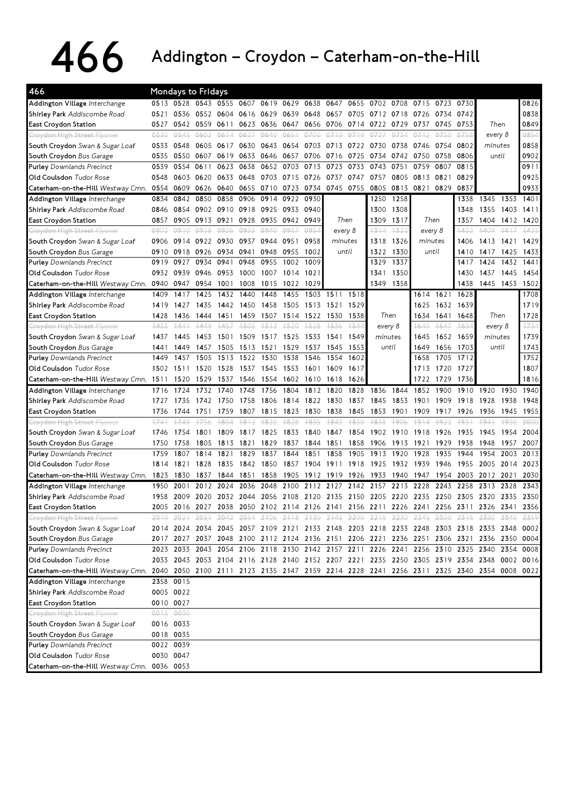## 466 Addington–Croydon–Caterham-on-the-Hill

| 466                                                                                                                         |        |              | <b>Mondays to Fridays</b>                    |              |              |              |              |              |              |              |                          |        |                                                                                           |              |              |              |       |              |
|-----------------------------------------------------------------------------------------------------------------------------|--------|--------------|----------------------------------------------|--------------|--------------|--------------|--------------|--------------|--------------|--------------|--------------------------|--------|-------------------------------------------------------------------------------------------|--------------|--------------|--------------|-------|--------------|
| Addington Village Interchange                                                                                               |        |              | 0513 0528 0543 0555 0607 0619 0629 0638 0647 |              |              |              |              |              |              |              |                          |        | 0655 0702 0708 0715 0723 0730                                                             |              |              |              |       | 0826         |
| Shirley Park Addiscombe Road                                                                                                | 0521   | 0536         | 0552 0604                                    |              | 0616         | 0629         | 0639         | 0648         | 0657         | 0705         | 0712 0718                |        | 0726                                                                                      | 0734         | 0742         |              |       | 0838         |
| <b>East Croydon Station</b>                                                                                                 | 0527   | 0542         | 0559                                         | 0611         | 0623         | 0636         | 0647         | 0656         | 0706         | 0714         | 0722                     | 0729   | 0737                                                                                      | 0745         | 0753         | Then         |       | 0849         |
| <del>Croydon High Street Flyover</del>                                                                                      | 0530   | 0545         | 0602                                         | 0614         | 0627         | 0640         | 0651         | 0700         | 0710         | 0719         | 0727                     | 0734   | 0742                                                                                      | 0750         | 0758         | every 8      |       | 0854         |
| South Croydon Swan & Sugar Loaf                                                                                             | 0533   | 0548         | 0605                                         | 0617         | 0630         | 0643         | 0654         | 0703         | 0713         | 0722         | 0730                     | 0738   | 0746                                                                                      | 0754         | 0802         | minutes      |       | 0858         |
| South Croydon Bus Garage                                                                                                    | 0535   | 0550         | 0607                                         | 0619         | 0633         | 0646         | 0657         | 0706         | 0716         | 0725         | 0734                     | 0742   | 0750                                                                                      | 0758         | 0806         | until        |       | 0902         |
| <b>Purley</b> Downlands Precinct                                                                                            | 0539   | 0554         | 0611                                         | 0623         | 0638         | 0652         | 0703         | 0713         | 0723         | 0733         | 0743                     | 0751   | 0759                                                                                      | 0807         | 0815         |              |       | 0911         |
| Old Coulsdon Tudor Rose                                                                                                     | 0548   | 0603         | 0620                                         | 0633         | 0648         | 0703         | 0715         | 0726         | 0737         | 0747         | 0757                     | 0805   | 0813                                                                                      | 0821         | 0829         |              |       | 0925         |
| Caterham-on-the-Hill Westway Cmn.                                                                                           | 0554   | 0609         | 0626                                         | 0640         | 0655         |              | 0710 0723    | 0734         | 0745 0755    |              | 0805                     | 0813   | 0821                                                                                      | 0829         | 0837         |              |       | 0933         |
| Addington Village Interchange                                                                                               | 0834   | 0842         | 0850                                         | 0858         | 0906         | 0914         | 0922         | 0930         |              |              | 1250                     | 1258   |                                                                                           |              | 1338         | 1345         | 1353  | 1401         |
| Shirley Park Addiscombe Road                                                                                                | 0846   | 0854         | 0902 0910                                    |              | 0918         | 0925         | 0933         | 0940         |              |              | 1300                     | 1308   |                                                                                           |              | 1348         | 1355         | 1403  | 1411         |
| East Croydon Station                                                                                                        | 0857   | 0905         | 0913                                         | 0921         | 0928         | 0935         | 0942         | 0949         | Then         |              | 1309                     | 1317   | Then                                                                                      |              | 1357         | 1404         | 1412  | 1420         |
| Croydon High Street Flyover                                                                                                 | 9902   | 0910         | 0918                                         | 0926         | 0933         | 0940         | 0947         | 0954         | every 8      |              | 1314                     | 1322   | every 8                                                                                   |              | 1402         | 1409         | 1417  | 1425         |
| South Croydon Swan & Sugar Loaf                                                                                             | 0906   |              | 0914 0922 0930                               |              | 0937         | 0944         | 0951         | 0958         | minutes      |              | 1318                     | 1326   | minutes                                                                                   |              | 1406         | 1413         | 1421  | 1429         |
| South Croydon Bus Garage                                                                                                    | 0910   | 0918         | 0926                                         | 0934         | 0941         | 0948         | 0955         | 1002         | until        |              | 1322                     | 1330   | until                                                                                     |              | 1410         | 1417         | 1425  | 1433         |
| <b>Purley</b> Downlands Precinct                                                                                            | 0919   | 0927         | 0934                                         | 0941         | 0948         | 0955         | 1002         | 1009         |              |              | 1329                     | 1337   |                                                                                           |              | 1417         | 1424         | 1432  | 1441         |
| Old Coulsdon Tudor Rose                                                                                                     | 0932   | 0939         | 0946                                         | 0953         | 1000         | 1007         | 1014         | 1021         |              |              | 1341                     | 1350   |                                                                                           |              | 1430         | 1437         | 1445  | 1454         |
| Caterham-on-the-Hill Westway Cmn. 0940 0947                                                                                 |        |              | 0954                                         | 1001         | 1008         | 1015         | 1022         | 1029         |              |              | 1349                     | 1358   |                                                                                           |              | 1438         | 1445         | 1453  | 1502         |
| Addington Village Interchange                                                                                               | 1409   | 1417         | 1425                                         | 1432         | 1440         | 1448         | 1455         | 1503         | 1511         | 1518         |                          |        | 1614                                                                                      | 1621         | 1628         |              |       | 1708         |
| Shirley Park Addiscombe Road                                                                                                | 1419   | 1427         | 1435                                         | 1442         | 1450         | 1458         | 1505         | 1513         | 1521         | 1529         |                          |        | 1625                                                                                      | 1632         | 1639         |              |       | 1719         |
| East Croydon Station                                                                                                        | 1428   | 1436         | 1444                                         | 1451         | 1459         | 1507         | 1514         | 1522 1530    |              | 1538         | Then                     |        | 1634                                                                                      | 1641         | 1648         | Then         |       | 1728         |
| Croydon High Street Flyover                                                                                                 | 1433   | 1441         | 1449                                         | 1457         | 4505         | 1513         | 1520         | 1528         | 1536         | 1544         | every 8                  |        | 1640                                                                                      | $+647$       | 1654         | every 8      |       | 1734         |
| South Croydon Swan & Sugar Loaf                                                                                             | 1437   | 1445         | 1453                                         | 1501         | 1509         | 1517         | 1525         | 1533         | 1541         | 1549         | minutes                  |        | 1645                                                                                      | 1652         | 1659         | minutes      |       | 1739         |
|                                                                                                                             | 1441   | 1449         | 1457                                         | 1505         | 1513         | 1521         | 1529         | 1537         | 1545         | 1553         | until                    |        | 1649                                                                                      | 1656         | 1703         | until        |       | 1743         |
| South Croydon Bus Garage<br><b>Purley</b> Downlands Precinct                                                                | 1449   | 1457         | 1505                                         | 1513         | 1522         | 1530         | 1538         | 1546         | 1554         | 1602         |                          |        | 1658                                                                                      | 1705         | 1712         |              |       | 1752         |
|                                                                                                                             |        |              |                                              |              |              |              |              |              |              |              |                          |        |                                                                                           |              |              |              |       |              |
| Old Coulsdon Tudor Rose                                                                                                     | 1502   | 1511         | 1520                                         | 1528         | 1537         | 1545         | 1553         | 1601         | 1609         | 1617         |                          |        | 1713                                                                                      | 1720         | 1727         |              |       | 1807         |
| Caterham-on-the-Hill Westway Cmn. 1511<br>Addington Village Interchange                                                     | 1716   | 1520<br>1724 | 1529<br>1732                                 | 1537<br>1740 | 1546<br>1748 | 1554<br>1756 | 1602<br>1804 | 1610<br>1812 | 1618<br>1820 | 1626<br>1828 | 1836                     | 1844   | 1722<br>1852                                                                              | 1729<br>1900 | 1736<br>1910 | 1920         | 1930  | 1816<br>1940 |
| Shirley Park Addiscombe Road                                                                                                | 1727   | 1735         | 1742                                         | 1750         | 1758         | 1806         | 1814         | 1822 1830    |              | 1837         | 1845                     | 1853   | 1901                                                                                      | 1909         | 1918         | 1928         | 1938  | 1948         |
| East Croydon Station                                                                                                        | 1736   | 1744         | 1751                                         | 1759         | 1807         | 1815         | 1823         | 1830         | 1838         | 1845         | 1853                     | 1901   | 1909                                                                                      | 1917         | 1926         | 1936         | 1945  | 1955         |
| <del>Croydon High Street Flyover</del>                                                                                      | $+741$ | 1749         | 1756                                         | 1804         | 1812         | 1820         | 1828         | 1835         | 1843         | 1850         | 1858                     | 1906   | 1914                                                                                      | 1922         | 1931         | 1941         | 1950  | 2000         |
| South Croydon Swan & Sugar Loaf                                                                                             | 1746   | 1754         | 1801                                         | 1809         | 1817         | 1825         | 1833         | 1840         | 1847         | 1854         | 1902                     | 1910   | 1918                                                                                      | 1926         | 1935         | 1945         | 1954  | 2004         |
| South Croydon Bus Garage                                                                                                    | 1750   | 1758         | 1805                                         | 1813         | 1821         | 1829         | 1837         | 1844         | 1851         | 1858         | 1906                     | 1913   | 1921                                                                                      | 1929         | 1938         | 1948         | 1957  | 2007         |
| <b>Purley</b> Downlands Precinct                                                                                            | 1759   | 1807         | 1814                                         | 1821         | 1829         | 1837         | 1844         | 1851         | 1858         | 1905         | 1913                     | 1920   | 1928                                                                                      | 1935         | 1944         | 1954         | 2003  | 2013         |
| <b>Old Coulsdon</b> Tudor Rose                                                                                              | 1814   | 1821         | 1828                                         | 1835         |              | 1842 1850    | 1857         | 1904         | 1911         | 1918         | 1925                     | 1932   | 1939                                                                                      | 1946         | 1955         | 2005         | 2014  | 2023         |
| Caterham-on-the-Hill Westway Cmn. 1823                                                                                      |        | 1830         | 1837                                         | 1844         | 1851         | 1858         | 1905         | 1912 1919    |              | 1926         | 1933                     | 1940   | 1947                                                                                      | 1954         | 2003         | 2012         | 2021  | 2030         |
|                                                                                                                             | 1950   | 2001         | 2012                                         | 2024         | 2036         | 2048         | 2100         | 2112         | 2127         | 2142         | 2157                     | 2213   | 2228                                                                                      | 2243         | 2258         | 2313         | 2328  | 2343         |
| Addington Village Interchange<br>Shirley Park Addiscombe Road                                                               | 1958   | 2009         | 2020                                         | 2032         | 2044         | 2056         | 2108         | 2120         | 2135         | 2150         | 2205                     | 2220   | 2235                                                                                      | 2250         | 2305         |              | 2335  | 2350         |
|                                                                                                                             | 2005   | 2016         | 2027                                         | 2038         | 2050         | 2102 2114    |              |              | 2126 2141    | 2156         | 2211 2226 2241           |        |                                                                                           | 2256         | 2311         | 2320<br>2326 | 2341  | 2356         |
| <b>East Croydon Station</b><br>Croydon High Street Flyover                                                                  |        |              |                                              |              |              |              |              |              |              |              |                          |        |                                                                                           |              |              |              |       |              |
|                                                                                                                             | -2010  | -2021        | -2031                                        | -2042        | -2054        | -2106        |              |              |              |              | 2118 2130 2145 2200 2215 | -2-230 | 2245                                                                                      | 2300         |              | 2315 2330    | -2345 | 2359         |
| South Croydon Swan & Sugar Loaf                                                                                             | 2014   |              |                                              |              |              |              |              |              |              |              |                          |        | 2024 2034 2045 2057 2109 2121 2133 2148 2203 2218 2233 2248 2303 2318 2333 2348           |              |              |              |       | 00021        |
| South Croydon Bus Garage                                                                                                    | 2017   |              |                                              |              |              |              |              |              |              |              |                          |        | 2027 2037 2048 2100 2112 2124 2136 2151 2206 2221 2236 2251 2306 2321 2336 2350 0004      |              |              |              |       |              |
| <b>Purley</b> Downlands Precinct                                                                                            |        |              |                                              |              |              |              |              |              |              |              |                          |        | 2023 2033 2043 2054 2106 2118 2130 2142 2157 2211 2226 2241 2256 2310 2325 2340 2354 0008 |              |              |              |       |              |
| Old Coulsdon Tudor Rose                                                                                                     |        |              |                                              |              |              |              |              |              |              |              |                          |        | 2033 2043 2053 2104 2116 2128 2140 2152 2207 2221 2235 2250 2305 2319 2334 2348 0002 0016 |              |              |              |       |              |
| Caterham-on-the-Hill Westway Cmn. 2040 2050 2100 2111 2123 2135 2147 2159 2214 2228 2241 2256 2311 2325 2340 2354 0008 0022 |        |              |                                              |              |              |              |              |              |              |              |                          |        |                                                                                           |              |              |              |       |              |
| Addington Village Interchange                                                                                               |        | 2358 0015    |                                              |              |              |              |              |              |              |              |                          |        |                                                                                           |              |              |              |       |              |
| Shirley Park Addiscombe Road                                                                                                |        | 0005 0022    |                                              |              |              |              |              |              |              |              |                          |        |                                                                                           |              |              |              |       |              |
| East Croydon Station                                                                                                        |        | 0010 0027    |                                              |              |              |              |              |              |              |              |                          |        |                                                                                           |              |              |              |       |              |
| Croydon High Street Flyover                                                                                                 |        | 0013 0030    |                                              |              |              |              |              |              |              |              |                          |        |                                                                                           |              |              |              |       |              |
| South Croydon Swan & Sugar Loaf                                                                                             |        | 0016 0033    |                                              |              |              |              |              |              |              |              |                          |        |                                                                                           |              |              |              |       |              |
|                                                                                                                             |        |              |                                              |              |              |              |              |              |              |              |                          |        |                                                                                           |              |              |              |       |              |
| South Croydon Bus Garage                                                                                                    |        | 0018 0035    |                                              |              |              |              |              |              |              |              |                          |        |                                                                                           |              |              |              |       |              |
| <b>Purley</b> Downlands Precinct                                                                                            |        | 0022 0039    |                                              |              |              |              |              |              |              |              |                          |        |                                                                                           |              |              |              |       |              |
| <b>Old Coulsdon</b> Tudor Rose<br>Caterham-on-the-Hill Westway Cmn. 0036 0053                                               |        | 0030 0047    |                                              |              |              |              |              |              |              |              |                          |        |                                                                                           |              |              |              |       |              |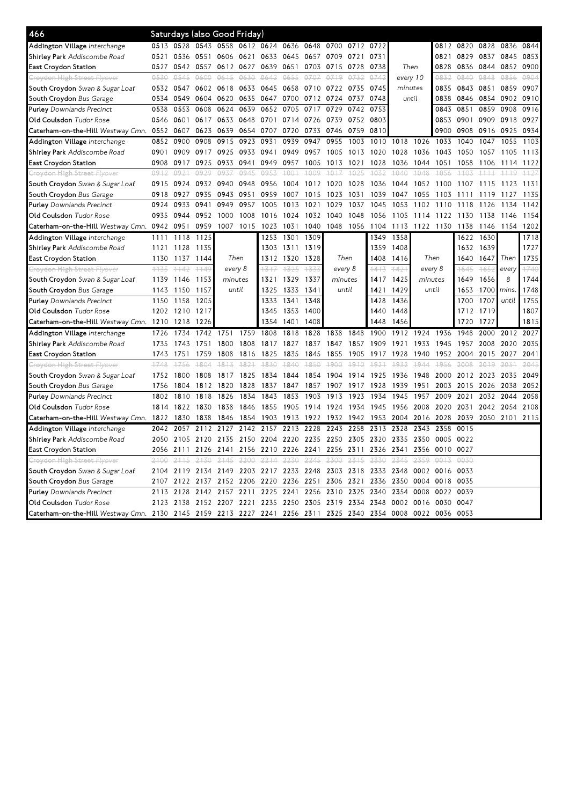| 466                                    |        |        |           | Saturdays (also Good Friday)  |      |                |           |           |                |           |      |                |           |           |           |        |           |           |
|----------------------------------------|--------|--------|-----------|-------------------------------|------|----------------|-----------|-----------|----------------|-----------|------|----------------|-----------|-----------|-----------|--------|-----------|-----------|
| Addington Village Interchange          | 0513   | 0528   | 0543 0558 |                               |      | 0612 0624 0636 |           | 0648      | 0700           | 0712 0722 |      |                |           | 0812      | 0820      | 0828   | 0836      | 0844      |
| Shirley Park Addiscombe Road           | 0521   |        |           | 0536 0551 0606 0621 0633 0645 |      |                |           |           | 0657 0709 0721 |           | 0731 |                |           | 0821      | 0829 0837 |        |           | 0845 0853 |
| East Croydon Station                   | 0527   | 0542   | 0557      | 0612                          | 0627 | 0639           | 0651      | 0703      | 0715           | 0728      | 0738 | Then           |           | 0828      | 0836      | 0844   | 0852      | 0900      |
| <del>Croydon High Street Flyover</del> | 0530   | 0.545  | 0600      | 0615                          | 0630 | 0642           | 0655      | 0707      | 0719           | 0732      | 0742 | every 10       |           | 0832      | 0840      | 0848   | 0856      | 0904      |
| South Croydon Swan & Sugar Loaf        | 0532   | 0547   | 0602 0618 |                               | 0633 | 0645 0658      |           | 0710 0722 |                | 0735      | 0745 | minutes        |           | 0835      | 0843      | 0851   | 0859      | 0907      |
| South Croydon Bus Garage               | 0534   | 0549   | 0604      | 0620                          | 0635 | 0647           | 0700      | 0712      | 0724           | 0737      | 0748 | until          |           | 0838      | 0846      | 0854   | 0902      | 0910      |
| <b>Purley</b> Downlands Precinct       | 0538   | 0553   | 0608      | 0624                          | 0639 | 0652           | 0705      | 0717      | 0729           | 0742      | 0753 |                |           | 0843      | 0851      | 0859   | 0908      | 0916      |
| Old Coulsdon Tudor Rose                | 0546   | 0601   | 0617      | 0633                          | 0648 | 0701           | 0714      | 0726      | 0739           | 0752      | 0803 |                |           | 0853      | 0901      | 0909   | 0918      | 0927      |
| Caterham-on-the-Hill Westway Cmn.      | 0552   | 0607   | 0623      | 0639                          | 0654 | 0707           | 0720      | 0733      | 0746           | 0759      | 0810 |                |           | 0900      | 0908      | 0916   | 0925      | 0934      |
| Addington Village Interchange          | 0852   | 0900   | 0908      | 0915                          | 0923 | 0931           | 0939      | 0947      | 0955           | 1003      | 1010 | 1018           | 1026      | 1033      | 1040      | 1047   | 1055      | 1103      |
| Shirley Park Addiscombe Road           | 0901   | 0909   | 0917      | 0925                          | 0933 | 0941           | 0949      | 0957      | 1005           | 1013      | 1020 | 1028           | 1036      | 1043      | 1050      | 1057   | 1105      | 1113      |
| East Croydon Station                   | 0908   | 0917   | 0925      | 0933                          | 0941 | 0949           | 0957      | 1005      | 1013           | 1021      | 1028 | 1036           | 1044      | 1051      | 1058      | 1106   | 1114      | 1122      |
| Croydon High Street Flyover            | 0912   | 0921   | 0929      | 0937                          | 0945 | 0953           | $+001$    | 1009      | $+0.17$        | 4025      | 1032 | 1040           | 1048      | 4056      | $+103$    | 1111   | $+119$    | $+127$    |
| South Croydon Swan & Sugar Loaf        | 0915   | 0924   |           | 0932 0940                     | 0948 | 0956           | 1004      | 1012      | 1020           | 1028      | 1036 | 1044           | 1052      | 1100      | 1107      | 1115   | 1123      | 1131      |
| South Croydon Bus Garage               | 0918   | 0927   | 0935      | 0943                          | 0951 | 0959           | 1007      | 1015      | 1023           | 1031      | 1039 | 1047           | 1055      | 1103      | 1111      | 1119   | 1127      | 1135      |
| <b>Purley</b> Downlands Precinct       | 0924   | 0933   | 0941      | 0949                          | 0957 | 1005           | 1013      | 1021      | 1029           | 1037      | 1045 | 1053           | 1102      | 1110      | 1118      | 1126   | 1134      | 1142      |
| <b>Old Coulsdon</b> Tudor Rose         | 0935   | 0944   | 0952      | 1000                          | 1008 | 1016           | 1024      | 1032 1040 |                | 1048      | 1056 | 1105           | 1114      | 1122      | 1130      | 1138   | 1146      | 1154      |
| Caterham-on-the-Hill Westway Cmn. 0942 |        | 0951   | 0959      | 1007                          | 1015 | 1023           | 1031      | 1040      | 1048 1056      |           | 1104 | 1113           | 1122 1130 |           | 1138      | 1146   | 1154      | 1202      |
| Addington Village Interchange          | 1111   | 1118   | 1125      |                               |      | 1253           | 1301      | 1309      |                |           | 1349 | 1358           |           |           | 1622      | 1630   |           | 1718      |
| Shirley Park Addiscombe Road           | 1121   | 1128   | 1135      |                               |      |                | 1303 1311 | 1319      |                |           | 1359 | 1408           |           |           | 1632      | 1639   |           | 1727      |
| <b>East Croydon Station</b>            | 1130   | 1137   | 1144      | Then<br>every 8               |      | 1312           | 1320      | 1328      | Then<br>1408   |           |      | 1416           | Then      |           | 1640      | 1647   | Then      | 1735      |
| Croydon High Street Flyover            | $+135$ | $+142$ | 1149      |                               |      | 1317           | 1325      | 1333      | every 8        |           | 1413 | $+421$         | every 8   |           | 1645      | $+652$ | every     | 1740      |
| South Croydon Swan & Sugar Loaf        | 1139   | 1146   | 1153      | minutes                       |      | 1321           | 1329      | 1337      | minutes        |           | 1417 | 1425           | minutes   |           | 1649      | 1656   | 8         | 1744      |
| South Croydon Bus Garage               | 1143   | 1150   | 1157      | until                         |      | 1325           | 1333      | 1341      | until          |           | 1421 | 1429           | until     |           | 1653      | 1700   | mins.     | 1748      |
| Purley Downlands Precinct              | 1150   | 1158   | 1205      |                               |      | 1333           | 1341      | 1348      |                |           | 1428 | 1436           |           |           | 1700      | 1707   | until     | 1755      |
| Old Coulsdon Tudor Rose                | 1202   | 1210   | 1217      |                               |      | 1345           | 1353      | 1400      |                |           | 1440 | 1448           |           |           | 1712      | 1719   |           | 1807      |
| Caterham-on-the-Hill Westway Cmn.      | 1210   | 1218   | 1226      |                               |      | 1354           | 1401      | 1408      |                |           | 1448 | 1456           |           |           | 1720      | 1727   |           | 1815      |
| Addington Village Interchange          | 1726   | 1734   | 1742      | 1751                          | 1759 | 1808           | 1818      | 1828      | 1838           | 1848      | 1900 | 1912           | 1924      | 1936      | 1948      | 2000   | 2012 2027 |           |
| Shirley Park Addiscombe Road           | 1735   | 1743   | 1751      | 1800                          | 1808 | 1817           | 1827      | 1837      | 1847           | 1857      | 1909 | 1921           | 1933      | 1945      | 1957      | 2008   | 2020      | 2035      |
| East Croydon Station                   | 1743   | 1751   | 1759      | 1808                          | 1816 | 1825           | 1835      | 1845      | 1855           | 1905      | 1917 | 1928           | 1940      | 1952      | 2004      | 2015   | 2027      | 2041      |
| <del>Croydon High Street Flyover</del> | 1748   | 1756   | 1804      | 1813                          | 1821 | 1830           | 1840      | 1850      | 1900           | 1910      | 1021 | 1932           | 1944      | 1956      | 2008      | 2019   | 2031      | 2045      |
| South Croydon Swan & Sugar Loaf        | 1752   | 1800   | 1808      | 1817                          | 1825 | 1834           | 1844      | 1854      | 1904           | 1914      | 1925 | 1936           | 1948      | 2000      | 2012      | 2023   | 2035      | 2049      |
| South Croydon Bus Garage               | 1756   | 1804   | 1812      | 1820                          | 1828 | 1837           | 1847      | 1857      | 1907           | 1917      | 1928 | 1939           | 1951      | 2003      | 2015      | 2026   | 2038      | 2052      |
| <b>Purley</b> Downlands Precinct       | 1802   | 1810   | 1818      | 1826                          | 1834 | 1843           | 1853      | 1903      | 1913           | 1923      | 1934 | 1945           | 1957      | 2009      | 2021      | 2032   | 2044      | 2058      |
| Old Coulsdon Tudor Rose                | 1814   | 1822   | 1830      | 1838                          | 1846 | 1855           | 1905      | 1914 1924 |                | 1934      | 1945 | 1956 2008      |           | 2020      | 2031      | 2042   | 2054      | 2108      |
| Caterham-on-the-Hill Westway Cmn.      | 1822   | 1830   | 1838      | 1846                          | 1854 | 1903           | 1913      | 1922      | 1932           | 1942      | 1953 | 2004           | 2016      | 2028      | 2039      | 2050   | 2101      | 2115      |
| Addington Village Interchange          | 2042   | 2057   | 2112      | 2127                          | 2142 | 2157           | 2213      | 2228      | 2243           | 2258      | 2313 | 2328           | 2343      | 2358      | 0015      |        |           |           |
| Shirley Park Addiscombe Road           | 2050   | 2105   | 2120      | 2135                          |      | 2150 2204 2220 |           |           | 2235 2250      | 2305      |      | 2320 2335 2350 |           | 0005 0022 |           |        |           |           |
| East Croydon Station                   | 2056   | 2111   | 2126      | 2141                          | 2156 | 2210           | 2226      | 2241      | 2256           | 2311      | 2326 | 2341           | 2356      | 0010      | 0027      |        |           |           |
| Croydon High Street Flyover            | 2100   | 2115   | 2130      | 2145                          | 2200 | 2214           | 2230      | 2245      | 2300           | 2315      | 2330 | 2345           | 2359      | 0013      | 0030      |        |           |           |
| South Croydon Swan & Sugar Loaf        | 2104   | 2119   | 2134 2149 |                               | 2203 | 2217           | 2233      | 2248      | 2303           | 2318      | 2333 | 2348           | 0002      | 0016      | 0033      |        |           |           |
| South Croydon Bus Garage               | 2107   | 2122   | 2137      | 2152                          | 2206 | 2220           | 2236      | 2251      | 2306           | 2321      | 2336 | 2350           | 0004      | 0018      | 0035      |        |           |           |
| <b>Purley</b> Downlands Precinct       | 2113   | 2128   | 2142      | 2157                          | 2211 | 2225           | 2241      | 2256      | 2310           | 2325      | 2340 | 2354           | 0008      | 0022      | 0039      |        |           |           |
| Old Coulsdon Tudor Rose                | 2123   | 2138   | 2152 2207 |                               | 2221 | 2235           | 2250      | 2305      | 2319           | 2334      | 2348 | 0002           | 0016      | 0030      | 0047      |        |           |           |
| Caterham-on-the-Hill Westway Cmn. 2130 |        | 2145   | 2159 2213 |                               | 2227 | 2241           | 2256      | 2311      | 2325           | 2340      | 2354 | 0008           | 0022      | 0036      | 0053      |        |           |           |